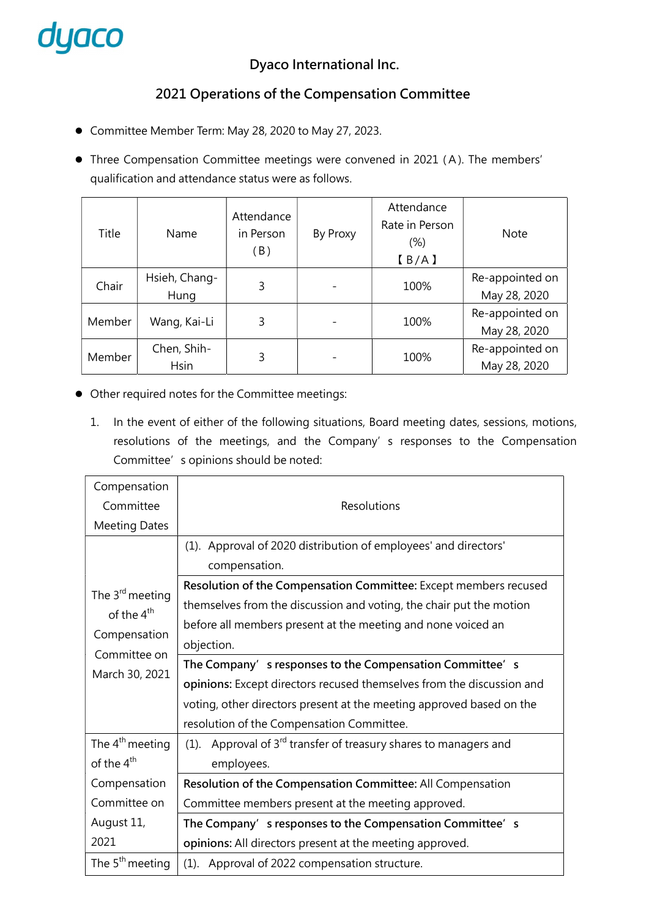

### Dyaco International Inc.

# 2021 Operations of the Compensation Committee

- Committee Member Term: May 28, 2020 to May 27, 2023.
- Three Compensation Committee meetings were convened in 2021 (A). The members' qualification and attendance status were as follows.

| Title  | Name                       | Attendance<br>in Person<br>(B) | By Proxy | Attendance<br>Rate in Person<br>$(\%)$<br>[B/A] | <b>Note</b>                     |
|--------|----------------------------|--------------------------------|----------|-------------------------------------------------|---------------------------------|
| Chair  | Hsieh, Chang-<br>Hung      | 3                              |          | 100%                                            | Re-appointed on<br>May 28, 2020 |
| Member | Wang, Kai-Li               | 3                              |          | 100%                                            | Re-appointed on<br>May 28, 2020 |
| Member | Chen, Shih-<br><b>Hsin</b> | 3                              |          | 100%                                            | Re-appointed on<br>May 28, 2020 |

- Other required notes for the Committee meetings:
	- 1. In the event of either of the following situations, Board meeting dates, sessions, motions, resolutions of the meetings, and the Company' s responses to the Compensation Committee's opinions should be noted:

| Compensation                 |                                                                                    |  |  |  |
|------------------------------|------------------------------------------------------------------------------------|--|--|--|
| Committee                    | Resolutions                                                                        |  |  |  |
| <b>Meeting Dates</b>         |                                                                                    |  |  |  |
|                              | (1). Approval of 2020 distribution of employees' and directors'                    |  |  |  |
|                              | compensation.                                                                      |  |  |  |
| The $3^{\text{rd}}$ meeting  | Resolution of the Compensation Committee: Except members recused                   |  |  |  |
| of the 4 <sup>th</sup>       | themselves from the discussion and voting, the chair put the motion                |  |  |  |
|                              | before all members present at the meeting and none voiced an                       |  |  |  |
| Compensation<br>Committee on | objection.                                                                         |  |  |  |
| March 30, 2021               | The Company's responses to the Compensation Committee's                            |  |  |  |
|                              | opinions: Except directors recused themselves from the discussion and              |  |  |  |
|                              | voting, other directors present at the meeting approved based on the               |  |  |  |
|                              | resolution of the Compensation Committee.                                          |  |  |  |
| The $4th$ meeting            | Approval of 3 <sup>rd</sup> transfer of treasury shares to managers and<br>$(1)$ . |  |  |  |
| of the 4 <sup>th</sup>       | employees.                                                                         |  |  |  |
| Compensation                 | Resolution of the Compensation Committee: All Compensation                         |  |  |  |
| Committee on                 | Committee members present at the meeting approved.                                 |  |  |  |
| August 11,                   | The Company's responses to the Compensation Committee's                            |  |  |  |
| 2021                         | opinions: All directors present at the meeting approved.                           |  |  |  |
| The $5th$ meeting            | (1). Approval of 2022 compensation structure.                                      |  |  |  |